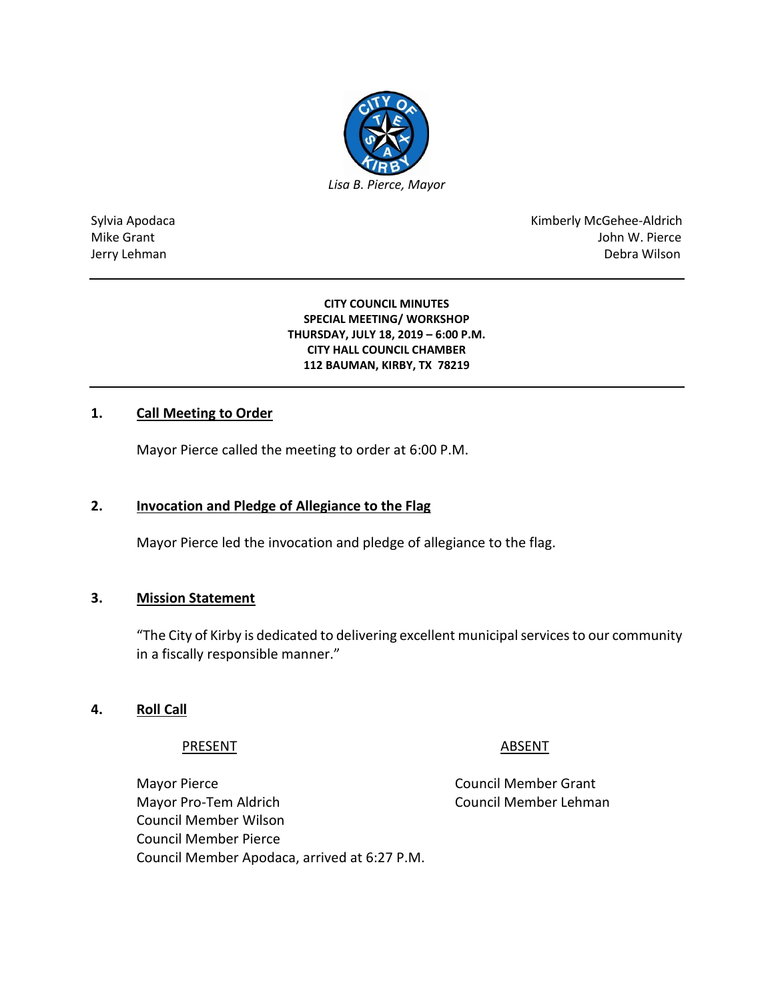

Sylvia Apodaca National Apodaca Kimberly McGehee-Aldrich Mike Grant John W. Pierce Jerry Lehman Debra Wilson

> **CITY COUNCIL MINUTES SPECIAL MEETING/ WORKSHOP THURSDAY, JULY 18, 2019 – 6:00 P.M. CITY HALL COUNCIL CHAMBER 112 BAUMAN, KIRBY, TX 78219**

## **1. Call Meeting to Order**

Mayor Pierce called the meeting to order at 6:00 P.M.

### **2. Invocation and Pledge of Allegiance to the Flag**

Mayor Pierce led the invocation and pledge of allegiance to the flag.

### **3. Mission Statement**

"The City of Kirby is dedicated to delivering excellent municipal services to our community in a fiscally responsible manner."

### **4. Roll Call**

#### PRESENT ABSENT

Mayor Pierce **Council Member Grant** Mayor Pro-Tem Aldrich Council Member Lehman Council Member Wilson Council Member Pierce Council Member Apodaca, arrived at 6:27 P.M.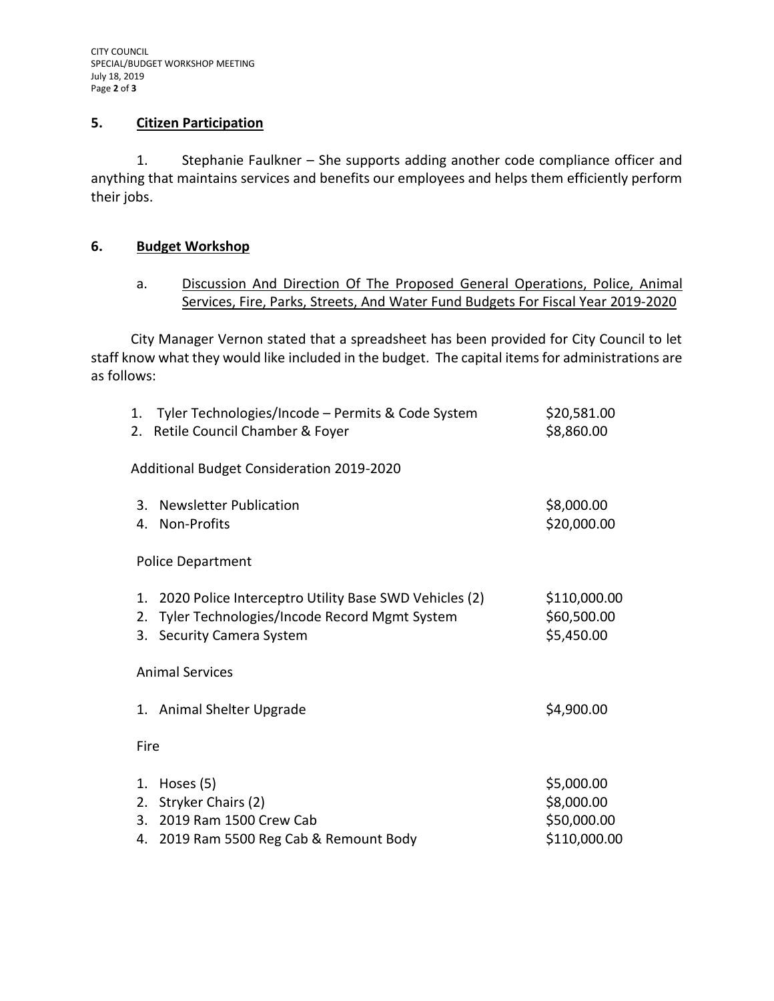### **5. Citizen Participation**

1. Stephanie Faulkner – She supports adding another code compliance officer and anything that maintains services and benefits our employees and helps them efficiently perform their jobs.

## **6. Budget Workshop**

a. Discussion And Direction Of The Proposed General Operations, Police, Animal Services, Fire, Parks, Streets, And Water Fund Budgets For Fiscal Year 2019-2020

City Manager Vernon stated that a spreadsheet has been provided for City Council to let staff know what they would like included in the budget. The capital items for administrations are as follows:

| 1.             | Tyler Technologies/Incode – Permits & Code System<br>2. Retile Council Chamber & Foyer                                                 | \$20,581.00<br>\$8,860.00                               |
|----------------|----------------------------------------------------------------------------------------------------------------------------------------|---------------------------------------------------------|
|                | Additional Budget Consideration 2019-2020                                                                                              |                                                         |
| 3.<br>4.       | <b>Newsletter Publication</b><br><b>Non-Profits</b>                                                                                    | \$8,000.00<br>\$20,000.00                               |
|                | <b>Police Department</b>                                                                                                               |                                                         |
| 1.<br>2.<br>3. | 2020 Police Interceptro Utility Base SWD Vehicles (2)<br>Tyler Technologies/Incode Record Mgmt System<br><b>Security Camera System</b> | \$110,000.00<br>\$60,500.00<br>\$5,450.00               |
|                | <b>Animal Services</b>                                                                                                                 |                                                         |
|                | 1. Animal Shelter Upgrade                                                                                                              | \$4,900.00                                              |
| Fire           |                                                                                                                                        |                                                         |
| 1.<br>2.<br>3. | Hoses (5)<br>Stryker Chairs (2)<br>2019 Ram 1500 Crew Cab<br>4. 2019 Ram 5500 Reg Cab & Remount Body                                   | \$5,000.00<br>\$8,000.00<br>\$50,000.00<br>\$110,000.00 |